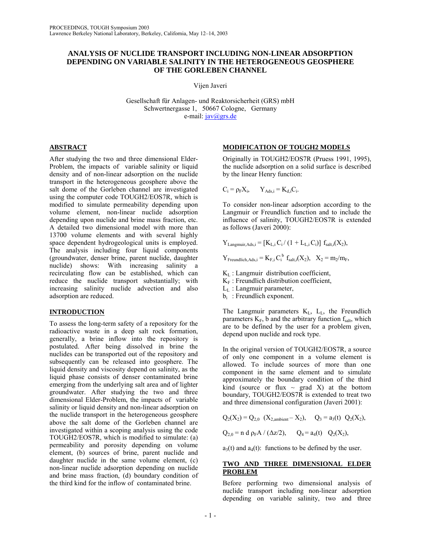## **ANALYSIS OF NUCLIDE TRANSPORT INCLUDING NON-LINEAR ADSORPTION DEPENDING ON VARIABLE SALINITY IN THE HETEROGENEOUS GEOSPHERE OF THE GORLEBEN CHANNEL**

Vijen Javeri

Gesellschaft für Anlagen- und Reaktorsicherheit (GRS) mbH Schwertnergasse 1, 50667 Cologne, Germany e-mail: jav@grs.de

## **ABSTRACT**

After studying the two and three dimensional Elder-Problem, the impacts of variable salinity or liquid density and of non-linear adsorption on the nuclide transport in the heterogeneous geosphere above the salt dome of the Gorleben channel are investigated using the computer code TOUGH2/EOS7R, which is modified to simulate permeability depending upon volume element, non-linear nuclide adsorption depending upon nuclide and brine mass fraction, etc. A detailed two dimensional model with more than 13700 volume elements and with several highly space dependent hydrogeological units is employed. The analysis including four liquid components (groundwater, denser brine, parent nuclide, daughter nuclide) shows: With increasing salinity a recirculating flow can be established, which can reduce the nuclide transport substantially; with increasing salinity nuclide advection and also adsorption are reduced.

## **INTRODUCTION**

To assess the long-term safety of a repository for the radioactive waste in a deep salt rock formation, generally, a brine inflow into the repository is postulated. After being dissolved in brine the nuclides can be transported out of the repository and subsequently can be released into geosphere. The liquid density and viscosity depend on salinity, as the liquid phase consists of denser contaminated brine emerging from the underlying salt area and of lighter groundwater. After studying the two and three dimensional Elder-Problem, the impacts of variable salinity or liquid density and non-linear adsorption on the nuclide transport in the heterogeneous geosphere above the salt dome of the Gorleben channel are investigated within a scoping analysis using the code TOUGH2/EOS7R, which is modified to simulate: (a) permeability and porosity depending on volume element, (b) sources of brine, parent nuclide and daughter nuclide in the same volume element, (c) non-linear nuclide adsorption depending on nuclide and brine mass fraction, (d) boundary condition of the third kind for the inflow of contaminated brine.

# **MODIFICATION OF TOUGH2 MODELS**

Originally in TOUGH2/EOS7R (Pruess 1991, 1995), the nuclide adsorption on a solid surface is described by the linear Henry function:

$$
C_i = \rho_F X_i, \qquad Y_{Ads,i} = K_{d,i} C_i.
$$

To consider non-linear adsorption according to the Langmuir or Freundlich function and to include the influence of salinity, TOUGH2/EOS7R is extended as follows (Javeri 2000):

 $Y_{\text{Langmuir,Ads},i} = [K_{\text{L},i} C_i / (1 + L_{\text{L},i} C_i)] f_{\text{salt},i}(X_2),$ 

 $Y_{\text{Freundlich},\text{Ads},i} = K_{\text{F},i} C_i^b f_{\text{salt},i}(X_2), X_2 = m_2/m_{\text{F}},$ 

 $K_L$ : Langmuir distribution coefficient,

 $K_F$ : Freundlich distribution coefficient,

 $L<sub>L</sub>$ : Langmuir parameter,

 $b_i$ : Freundlich exponent.

The Langmuir parameters  $K_{L}$ ,  $L_{L}$ , the Freundlich parameters  $K_F$ , b and the arbitrary function  $f_{salt}$ , which are to be defined by the user for a problem given, depend upon nuclide and rock type.

In the original version of TOUGH2/EOS7R, a source of only one component in a volume element is allowed. To include sources of more than one component in the same element and to simulate approximately the boundary condition of the third kind (source or flux  $\sim$  grad X) at the bottom boundary, TOUGH2/EOS7R is extended to treat two and three dimensional configuration (Javeri 2001):

$$
Q_2(X_2) = Q_{2,0}
$$
  $(X_{2,\text{ambient}} - X_2),$   $Q_3 = a_3(t)$   $Q_2(X_2),$ 

 $Q_{2,0}$  = n d  $\rho_F A / (\Delta z/2)$ ,  $Q_4 = a_4(t) Q_2(X_2)$ ,

 $a_3(t)$  and  $a_4(t)$ : functions to be defined by the user.

#### **TWO AND THREE DIMENSIONAL ELDER PROBLEM**

Before performing two dimensional analysis of nuclide transport including non-linear adsorption depending on variable salinity, two and three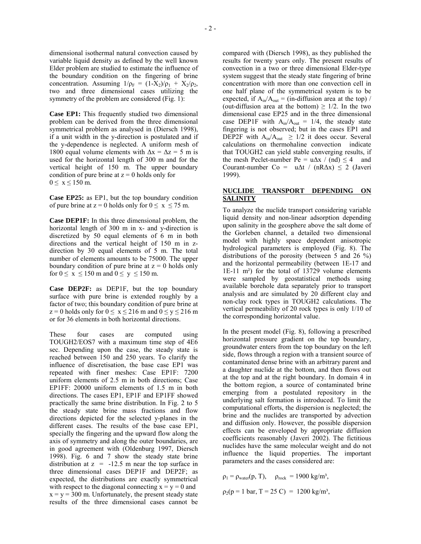dimensional isothermal natural convection caused by variable liquid density as defined by the well known Elder problem are studied to estimate the influence of the boundary condition on the fingering of brine concentration. Assuming  $1/\rho_F = (1-X_2)/\rho_1 + X_2/\rho_2$ , two and three dimensional cases utilizing the symmetry of the problem are considered (Fig. 1):

**Case EP1:** This frequently studied two dimensional problem can be derived from the three dimensional symmetrical problem as analysed in (Diersch 1998), if a unit width in the y-direction is postulated and if the y-dependence is neglected. A uniform mesh of 1800 equal volume elements with  $\Delta x = \Delta z = 5$  m is used for the horizontal length of 300 m and for the vertical height of 150 m. The upper boundary condition of pure brine at  $z = 0$  holds only for  $0 \le x \le 150$  m.

**Case EP25:** as EP1, but the top boundary condition of pure brine at  $z = 0$  holds only for  $0 \le x \le 75$  m.

**Case DEP1F:** In this three dimensional problem, the horizontal length of 300 m in x- and y-direction is discretized by 50 equal elements of 6 m in both directions and the vertical height of 150 m in zdirection by 30 equal elements of 5 m. The total number of elements amounts to be 75000. The upper boundary condition of pure brine at  $z = 0$  holds only for  $0 \le x \le 150$  m and  $0 \le y \le 150$  m.

**Case DEP2F:** as DEP1F, but the top boundary surface with pure brine is extended roughly by a factor of two; this boundary condition of pure brine at  $z = 0$  holds only for  $0 \le x \le 216$  m and  $0 \le y \le 216$  m or for 36 elements in both horizontal directions.

These four cases are computed using TOUGH2/EOS7 with a maximum time step of 4E6 sec. Depending upon the case, the steady state is reached between 150 and 250 years. To clarify the influence of discretisation, the base case EP1 was repeated with finer meshes: Case EP1F: 7200 uniform elements of 2.5 m in both directions; Case EP1FF: 20000 uniform elements of 1.5 m in both directions. The cases EP1, EP1F and EP1FF showed practically the same brine distribution. In Fig. 2 to 5 the steady state brine mass fractions and flow directions depicted for the selected y-planes in the different cases. The results of the base case EP1, specially the fingering and the upward flow along the axis of symmetry and along the outer boundaries, are in good agreement with (Oldenburg 1997, Diersch 1998). Fig. 6 and 7 show the steady state brine distribution at  $z = -12.5$  m near the top surface in three dimensional cases DEP1F and DEP2F; as expected, the distributions are exactly symmetrical with respect to the diagonal connecting  $x = y = 0$  and  $x = y = 300$  m. Unfortunately, the present steady state results of the three dimensional cases cannot be

compared with (Diersch 1998), as they published the results for twenty years only. The present results of convection in a two or three dimensional Elder-type system suggest that the steady state fingering of brine concentration with more than one convection cell in one half plane of the symmetrical system is to be expected, if  $A_{in}/A_{out} = (in-diffusion area at the top)$  / (out-diffusion area at the bottom)  $\geq$  1/2. In the two dimensional case EP25 and in the three dimensional case DEP1F with  $A_{in}/A_{out} = 1/4$ , the steady state fingering is not observed; but in the cases EP1 and DEP2F with  $A_{in}/A_{out} \ge 1/2$  it does occur. Several calculations on thermohaline convection indicate that TOUGH2 can yield stable converging results, if the mesh Peclet-number Pe =  $u\Delta x / (nd) \le 4$  and Courant-number Co = u $\Delta t$  / (nR $\Delta x$ ) ≤ 2 (Javeri 1999).

#### **NUCLIDE TRANSPORT DEPENDING ON SALINITY**

To analyze the nuclide transport considering variable liquid density and non-linear adsorption depending upon salinity in the geosphere above the salt dome of the Gorleben channel, a detailed two dimensional model with highly space dependent anisotropic hydrological parameters is employed (Fig. 8). The distributions of the porosity (between 5 and 26 %) and the horizontal permeability (between 1E-17 and 1E-11 m²) for the total of 13729 volume elements were sampled by geostatistical methods using available borehole data separately prior to transport analysis and are simulated by 20 different clay and non-clay rock types in TOUGH2 calculations. The vertical permeability of 20 rock types is only 1/10 of the corresponding horizontal value.

In the present model (Fig. 8), following a prescribed horizontal pressure gradient on the top boundary, groundwater enters from the top boundary on the left side, flows through a region with a transient source of contaminated dense brine with an arbitrary parent and a daughter nuclide at the bottom, and then flows out at the top and at the right boundary. In domain 4 in the bottom region, a source of contaminated brine emerging from a postulated repository in the underlying salt formation is introduced. To limit the computational efforts, the dispersion is neglected; the brine and the nuclides are transported by advection and diffusion only. However, the possible dispersion effects can be enveloped by appropriate diffusion coefficients reasonably (Javeri 2002). The fictitious nuclides have the same molecular weight and do not influence the liquid properties. The important parameters and the cases considered are:

 $\rho_1 = \rho_{\text{water}}(p, T)$ ,  $\rho_{\text{rock}} = 1900 \text{ kg/m}^3$ ,

$$
\rho_2(p=1 \text{ bar}, T=25 \text{ C}) = 1200 \text{ kg/m}^3,
$$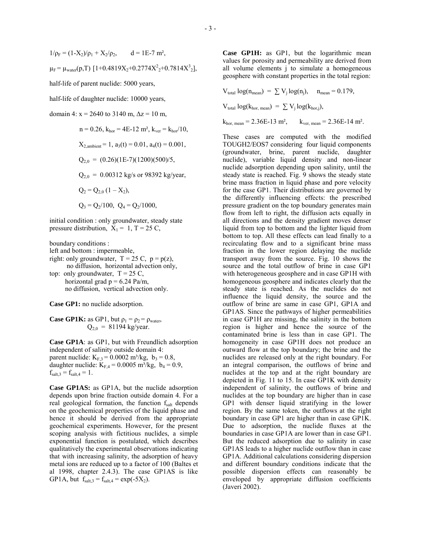$1/\rho_F = (1-X_2)/\rho_1 + X_2/\rho_2$ ,  $d = 1E-7$  m<sup>2</sup>,  $\mu_F = \mu_{water}(p,T)$  [1+0.4819X<sub>2</sub>+0.2774X<sup>2</sup><sub>2</sub>+0.7814X<sup>3</sup><sub>2</sub>],

half-life of parent nuclide: 5000 years,

half-life of daughter nuclide: 10000 years,

domain 4:  $x = 2640$  to 3140 m,  $\Delta z = 10$  m,

 n = 0.26, khor = 4E-12 m², kver = khor/10, X2,ambient = 1, a3(t) = 0.01, a4(t) = 0.001, Q2,0 = (0.26)(1E-7)(1200)(500)/5, Q2,0 = 0.00312 kg/s or 98392 kg/year, Q2 = Q2,0 (1 ñ X2), Q3 = Q2/100, Q4 = Q2/1000,

initial condition : only groundwater, steady state pressure distribution,  $X_1 = 1$ ,  $T = 25$  C,

boundary conditions :

- left and bottom : impermeable,
- right: only groundwater,  $T = 25$  C,  $p = p(z)$ , no diffusion, horizontal advection only,
- top: only groundwater,  $T = 25$  C, horizontal grad  $p = 6.24$  Pa/m, no diffusion, vertical advection only.

**Case GP1:** no nuclide adsorption.

**Case GP1K:** as GP1, but  $\rho_1 = \rho_2 = \rho_{\text{water}}$ ,  $Q_{2,0} = 81194$  kg/year.

**Case GP1A**: as GP1, but with Freundlich adsorption independent of salinity outside domain 4: parent nuclide:  $K_{F,3} = 0.0002$  m<sup>3</sup>/kg,  $b_3 = 0.8$ , daughter nuclide:  $K_{F,4} = 0.0005 \text{ m}^3/\text{kg}, b_4 = 0.9$ ,  $f_{salt,3} = f_{salt,4} = 1$ .

**Case GP1AS:** as GP1A, but the nuclide adsorption depends upon brine fraction outside domain 4. For a real geological formation, the function  $f_{salt}$  depends on the geochemical properties of the liquid phase and hence it should be derived from the appropriate geochemical experiments. However, for the present scoping analysis with fictitious nuclides, a simple exponential function is postulated, which describes qualitatively the experimental observations indicating that with increasing salinity, the adsorption of heavy metal ions are reduced up to a factor of 100 (Baltes et al 1998, chapter 2.4.3). The case GP1AS is like GP1A, but  $f_{salt,3} = f_{salt,4} = exp(-5X_2)$ .

**Case GP1H:** as GP1, but the logarithmic mean values for porosity and permeability are derived from all volume elements j to simulate a homogeneous geosphere with constant properties in the total region:

 $V_{total}$  log( $n_{mean}$ ) =  $\sum V_i$  log( $n_i$ ),  $n_{mean}$  = 0.179,

 $V_{total} \log(k_{hor. mean}) = \sum V_i \log(k_{hor. i}),$ 

 $k_{hor, mean} = 2.36E-13 \text{ m}^2$ ,  $k_{ver, mean} = 2.36E-14 \text{ m}^2$ .

These cases are computed with the modified TOUGH2/EOS7 considering four liquid components (groundwater, brine, parent nuclide, daughter nuclide), variable liquid density and non-linear nuclide adsorption depending upon salinity, until the steady state is reached. Fig. 9 shows the steady state brine mass fraction in liquid phase and pore velocity for the case GP1. Their distributions are governed by the differently influencing effects: the prescribed pressure gradient on the top boundary generates main flow from left to right, the diffusion acts equally in all directions and the density gradient moves denser liquid from top to bottom and the lighter liquid from bottom to top. All these effects can lead finally to a recirculating flow and to a significant brine mass fraction in the lower region delaying the nuclide transport away from the source. Fig. 10 shows the source and the total outflow of brine in case GP1 with heterogeneous geosphere and in case GP1H with homogeneous geosphere and indicates clearly that the steady state is reached. As the nuclides do not influence the liquid density, the source and the outflow of brine are same in case GP1, GP1A and GP1AS. Since the pathways of higher permeabilities in case GP1H are missing, the salinity in the bottom region is higher and hence the source of the contaminated brine is less than in case GP1. The homogeneity in case GP1H does not produce an outward flow at the top boundary; the brine and the nuclides are released only at the right boundary. For an integral comparison, the outflows of brine and nuclides at the top and at the right boundary are depicted in Fig. 11 to 15. In case GP1K with density independent of salinity, the outflows of brine and nuclides at the top boundary are higher than in case GP1 with denser liquid stratifying in the lower region. By the same token, the outflows at the right boundary in case GP1 are higher than in case GP1K. Due to adsorption, the nuclide fluxes at the boundaries in case GP1A are lower than in case GP1. But the reduced adsorption due to salinity in case GP1AS leads to a higher nuclide outflow than in case GP1A. Additional calculations considering dispersion and different boundary conditions indicate that the possible dispersion effects can reasonably be enveloped by appropriate diffusion coefficients (Javeri 2002).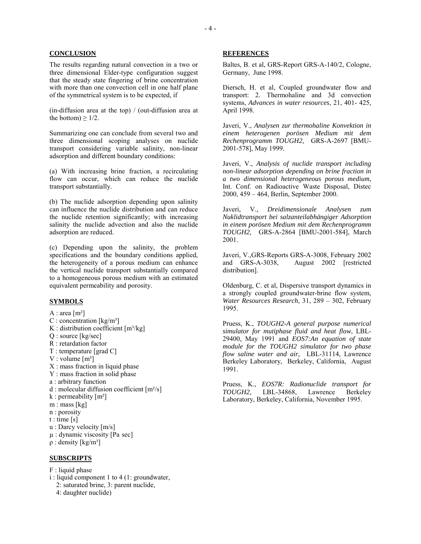#### **CONCLUSION**

The results regarding natural convection in a two or three dimensional Elder-type configuration suggest that the steady state fingering of brine concentration with more than one convection cell in one half plane of the symmetrical system is to be expected, if

(in-diffusion area at the top) / (out-diffusion area at the bottom)  $\geq 1/2$ .

Summarizing one can conclude from several two and three dimensional scoping analyses on nuclide transport considering variable salinity, non-linear adsorption and different boundary conditions:

(a) With increasing brine fraction, a recirculating flow can occur, which can reduce the nuclide transport substantially.

(b) The nuclide adsorption depending upon salinity can influence the nuclide distribution and can reduce the nuclide retention significantly; with increasing salinity the nuclide advection and also the nuclide adsorption are reduced.

(c) Depending upon the salinity, the problem specifications and the boundary conditions applied, the heterogeneity of a porous medium can enhance the vertical nuclide transport substantially compared to a homogeneous porous medium with an estimated equivalent permeability and porosity.

#### **SYMBOLS**

- A : area  $[m^2]$
- C : concentration  $\lceil \text{kg/m}^3 \rceil$
- K : distribution coefficient  $[m^3/kg]$
- Q : source [kg/sec]
- R : retardation factor
- T : temperature [grad C]
- V : volume  $[m^3]$
- X : mass fraction in liquid phase
- Y : mass fraction in solid phase
- a : arbitrary function
- d : molecular diffusion coefficient [m²/s]
- k : permeability  $[m^2]$
- m : mass [kg]
- n : porosity
- $t : time [s]$
- u : Darcy velocity [m/s]
- µ : dynamic viscosity [Pa sec]
- $ρ: density [kg/m<sup>3</sup>]$

#### **SUBSCRIPTS**

- F : liquid phase
- i : liquid component 1 to 4 (1: groundwater,
	- 2: saturated brine, 3: parent nuclide,
	- 4: daughter nuclide)

#### **REFERENCES**

Baltes, B. et al, GRS-Report GRS-A-140/2, Cologne, Germany, June 1998.

Diersch, H. et al, Coupled groundwater flow and transport: 2. Thermohaline and 3d convection systems, *Advances in water resources*, 21, 401- 425, April 1998.

Javeri, V., *Analysen zur thermohaline Konvektion in einem heterogenen porösen Medium mit dem Rechenprogramm TOUGH2,* GRS-A-2697 [BMU-2001-578], May 1999.

Javeri, V., *Analysis of nuclide transport including non-linear adsorption depending on brine fraction in a two dimensional heterogeneous porous medium,* Int. Conf. on Radioactive Waste Disposal, Distec 2000, 459 – 464, Berlin, September 2000.

Javeri, V., *Dreidimensionale Analysen zum Nuklidtransport bei salzanteilabhängiger Adsorption in einem porösen Medium mit dem Rechenprogramm TOUGH2,* GRS-A-2864 [BMU-2001-584], March 2001.

Javeri, V.,GRS-Reports GRS-A-3008, February 2002 and GRS-A-3038, August 2002 [restricted distribution].

Oldenburg, C. et al, Dispersive transport dynamics in a strongly coupled groundwater-brine flow system, *Water Resources Research*, 31, 289 – 302, February 1995.

Pruess, K., *TOUGH2-A general purpose numerical simulator for mutiphase fluid and heat flow*, LBL-29400, May 1991 and *EOS7:An equation of state module for the TOUGH2 simulator for two phase flow saline water and air,* LBL-31114, Lawrence Berkeley Laboratory, Berkeley, California, August 1991.

Pruess, K., *EOS7R: Radionuclide transport for TOUGH2,* LBL-34868, Lawrence Berkeley Laboratory, Berkeley, California, November 1995.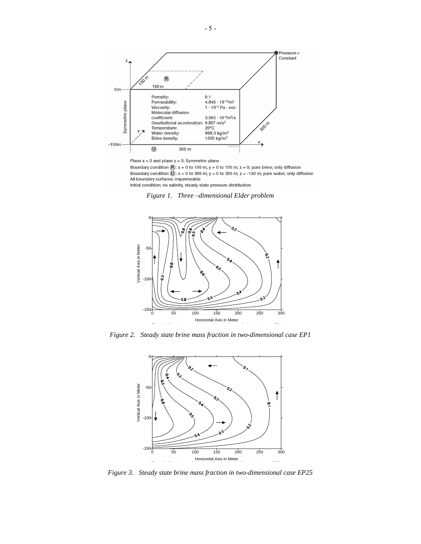

Plane  $x = 0$  and plane  $y = 0$ : Symmetric plane

Boundary condition  $\overline{B}$ : x = 0 to 150 m; y = 0 to 150 m; z = 0; pure brine; only diffusion Boundary condition  $\overline{0}$ : x = 0 to 300 m; y = 0 to 300 m; z = -150 m; pure water; only diffusion All boundary surfaces: impermeable Initial condition: no salinity, steady state pressure distribution





*Figure 2. Steady state brine mass fraction in two-dimensional case EP1* 



*Figure 3. Steady state brine mass fraction in two-dimensional case EP25*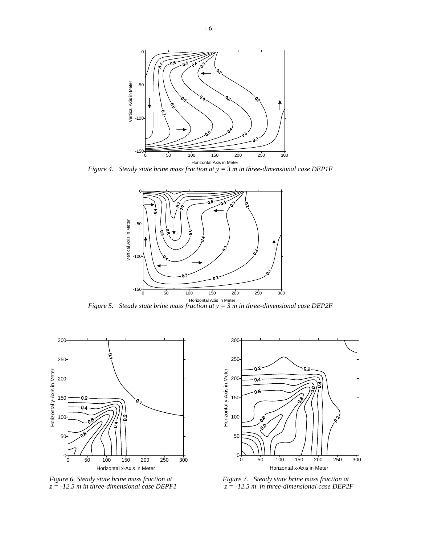

*Figure 4. Steady state brine mass fraction at y = 3 m in three-dimensional case DEP1F* 



*Figure 5. Steady state brine mass fraction at y = 3 m in three-dimensional case DEP2F* 





*Figure 6. Steady state brine mass fraction at Figure 7. Steady state brine mass fraction at z = -12.5 m in three-dimensional case DEPF1 z = -12.5 m in three-dimensional case DEP2F*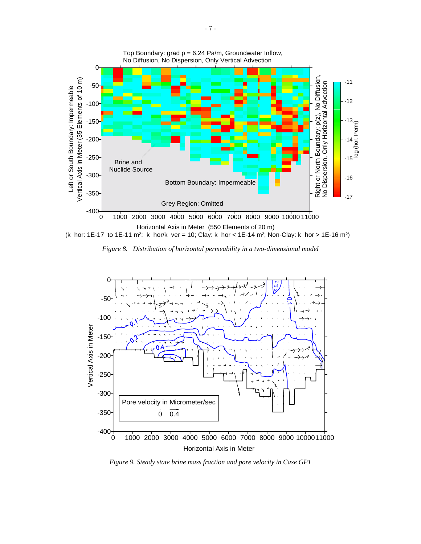

(k hor: 1E-17 to 1E-11 m²; k hor/k ver = 10; Clay: k hor < 1E-14 m²; Non-Clay: k hor > 1E-16 m²)





*Figure 9. Steady state brine mass fraction and pore velocity in Case GP1*